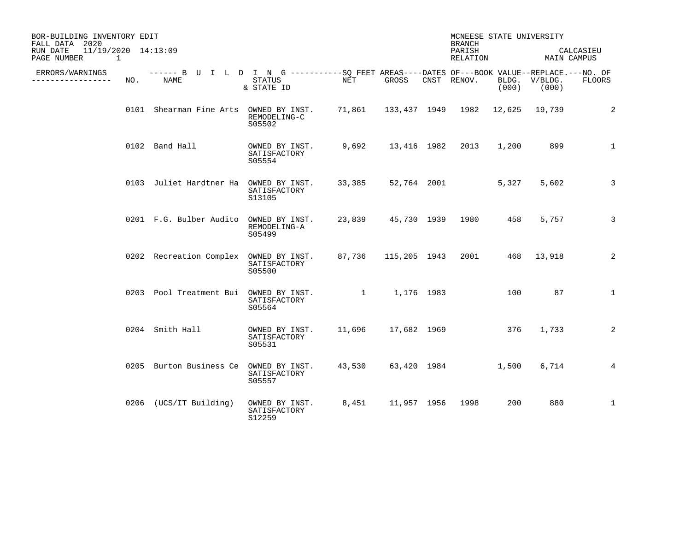| BOR-BUILDING INVENTORY EDIT<br>FALL DATA 2020<br>$11/19/2020$ $14:13:09$<br>RUN DATE |     |                                                                                                    |                                          |                                             |                             | MCNEESE STATE UNIVERSITY<br><b>BRANCH</b><br>PARISH |       |                        | CALCASIEU       |
|--------------------------------------------------------------------------------------|-----|----------------------------------------------------------------------------------------------------|------------------------------------------|---------------------------------------------|-----------------------------|-----------------------------------------------------|-------|------------------------|-----------------|
| PAGE NUMBER<br>1                                                                     |     |                                                                                                    |                                          |                                             |                             | RELATION                                            |       | MAIN CAMPUS            |                 |
| ERRORS/WARNINGS<br>.                                                                 | NO. | ------ B U I L D I N G ----------SO FEET AREAS----DATES OF---BOOK VALUE--REPLACE.---NO. OF<br>NAME | STATUS<br>& STATE ID                     | NET                                         | GROSS                       | CNST RENOV.                                         | (000) | BLDG. V/BLDG.<br>(000) | <b>FLOORS</b>   |
|                                                                                      |     | 0101 Shearman Fine Arts OWNED BY INST.                                                             | REMODELING-C<br>S05502                   | 71,861  133,437  1949  1982  12,625  19,739 |                             |                                                     |       |                        | 2               |
|                                                                                      |     | 0102 Band Hall                                                                                     | OWNED BY INST.<br>SATISFACTORY<br>S05554 | 9,692                                       |                             | 13,416 1982 2013                                    | 1,200 | 899                    | $\mathbf 1$     |
|                                                                                      |     | 0103 Juliet Hardtner Ha OWNED BY INST.                                                             | SATISFACTORY<br>S13105                   |                                             | 33,385 52,764 2001          |                                                     | 5,327 | 5,602                  | 3               |
|                                                                                      |     | 0201 F.G. Bulber Audito OWNED BY INST.                                                             | REMODELING-A<br>S05499                   |                                             | 23,839 45,730 1939 1980 458 |                                                     |       | 5,757                  | 3               |
|                                                                                      |     | 0202 Recreation Complex OWNED BY INST.                                                             | SATISFACTORY<br>S05500                   |                                             | 87,736 115,205 1943         |                                                     |       | 2001 468 13,918        | 2               |
|                                                                                      |     | 0203 Pool Treatment Bui OWNED BY INST.                                                             | SATISFACTORY<br>S05564                   | 1 1,176 1983                                |                             |                                                     | 100   | 87                     | $\mathbf{1}$    |
|                                                                                      |     | 0204 Smith Hall                                                                                    | OWNED BY INST.<br>SATISFACTORY<br>S05531 | 11,696                                      | 17,682 1969                 | 376                                                 |       | 1,733                  | 2               |
|                                                                                      |     | 0205 Burton Business Ce OWNED BY INST.                                                             | SATISFACTORY<br>S05557                   | 43,530                                      |                             | 63,420 1984                                         | 1,500 | 6,714                  | $4\overline{ }$ |
|                                                                                      |     | 0206 (UCS/IT Building)                                                                             | OWNED BY INST.<br>SATISFACTORY<br>S12259 | 8,451                                       | 11,957 1956 1998            |                                                     | 200   | 880                    | $\mathbf{1}$    |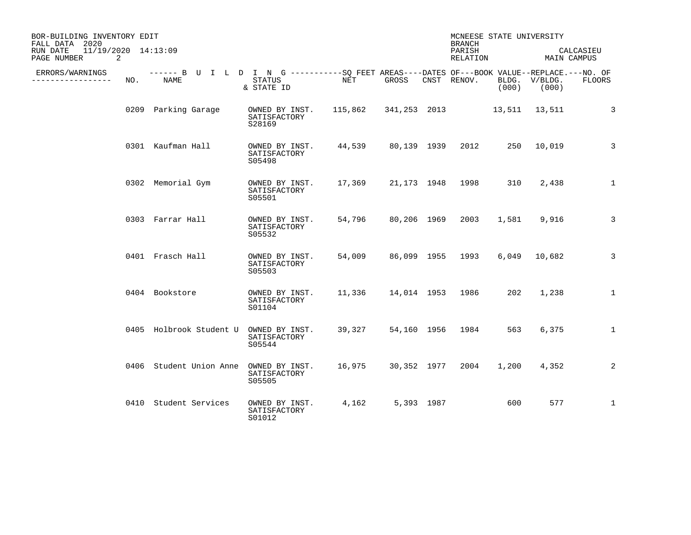| BOR-BUILDING INVENTORY EDIT<br>FALL DATA 2020  |     |                                                                                                    |                                          |                                    |             |                    | MCNEESE STATE UNIVERSITY<br><b>BRANCH</b> |       |                          |               |
|------------------------------------------------|-----|----------------------------------------------------------------------------------------------------|------------------------------------------|------------------------------------|-------------|--------------------|-------------------------------------------|-------|--------------------------|---------------|
| 11/19/2020 14:13:09<br>RUN DATE<br>PAGE NUMBER | 2   |                                                                                                    |                                          |                                    |             | PARISH<br>RELATION |                                           |       | CALCASIEU<br>MAIN CAMPUS |               |
| ERRORS/WARNINGS<br>--------------              | NO. | ------ B U I L D I N G ----------SO FEET AREAS----DATES OF---BOOK VALUE--REPLACE.---NO. OF<br>NAME | <b>STATUS</b><br>& STATE ID              | NET                                | GROSS       |                    | CNST RENOV.                               | (000) | BLDG. V/BLDG.<br>(000)   | <b>FLOORS</b> |
|                                                |     | 0209 Parking Garage                                                                                | OWNED BY INST.<br>SATISFACTORY<br>S28169 | 115,862 341,253 2013 13,511 13,511 |             |                    |                                           |       |                          | 3             |
|                                                |     | 0301 Kaufman Hall                                                                                  | OWNED BY INST.<br>SATISFACTORY<br>S05498 | 44,539                             | 80,139 1939 |                    | 2012                                      |       | 250 10,019               | 3             |
|                                                |     | 0302 Memorial Gym                                                                                  | OWNED BY INST.<br>SATISFACTORY<br>S05501 | 17,369                             |             |                    | 21,173 1948 1998                          | 310   | 2,438                    | 1             |
|                                                |     | 0303 Farrar Hall                                                                                   | OWNED BY INST.<br>SATISFACTORY<br>S05532 | 54,796                             | 80,206 1969 |                    | 2003                                      | 1,581 | 9,916                    | 3             |
|                                                |     | 0401 Frasch Hall                                                                                   | OWNED BY INST.<br>SATISFACTORY<br>S05503 | 54,009                             |             |                    | 86,099 1955 1993                          |       | 6,049 10,682             | 3             |
|                                                |     | 0404 Bookstore                                                                                     | OWNED BY INST.<br>SATISFACTORY<br>S01104 | 11,336                             |             |                    | 14,014 1953 1986                          | 202   | 1,238                    | 1             |
|                                                |     | 0405 Holbrook Student U OWNED BY INST.                                                             | SATISFACTORY<br>S05544                   | 39,327                             |             |                    | 54,160 1956 1984                          | 563   | 6,375                    | $\mathbf{1}$  |
|                                                |     | 0406 Student Union Anne                                                                            | OWNED BY INST.<br>SATISFACTORY<br>S05505 | 16,975                             | 30,352 1977 |                    | 2004                                      | 1,200 | 4,352                    | 2             |
|                                                |     | 0410 Student Services                                                                              | OWNED BY INST.<br>SATISFACTORY<br>S01012 | 4,162                              | 5,393 1987  |                    |                                           | 600   | 577                      | $\mathbf{1}$  |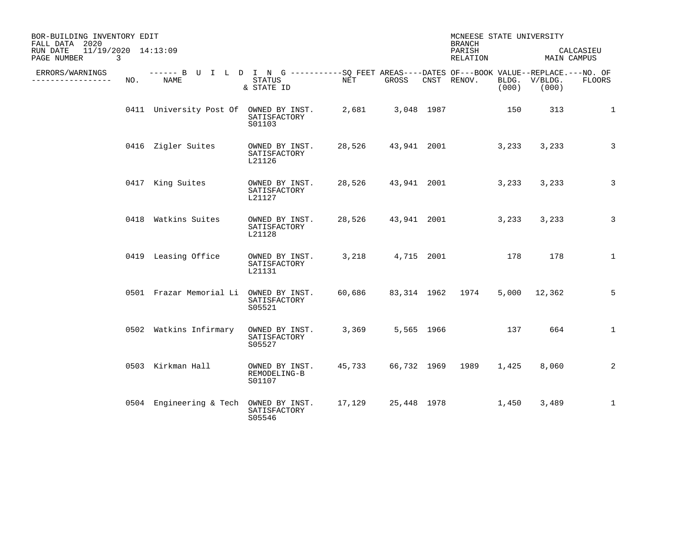| BOR-BUILDING INVENTORY EDIT<br>FALL DATA 2020<br>11/19/2020 14:13:09<br>RUN DATE |     |                                                                                                    |                                          |        |                  | MCNEESE STATE UNIVERSITY<br><b>BRANCH</b><br>PARISH |       |                        | CALCASIEU     |
|----------------------------------------------------------------------------------|-----|----------------------------------------------------------------------------------------------------|------------------------------------------|--------|------------------|-----------------------------------------------------|-------|------------------------|---------------|
| PAGE NUMBER                                                                      | 3   |                                                                                                    |                                          |        |                  | RELATION                                            |       | MAIN CAMPUS            |               |
| ERRORS/WARNINGS<br>----------------                                              | NO. | ------ B U I L D I N G ----------SO FEET AREAS----DATES OF---BOOK VALUE--REPLACE.---NO. OF<br>NAME | STATUS<br>& STATE ID                     | NET    | GROSS            | CNST RENOV.                                         | (000) | BLDG. V/BLDG.<br>(000) | <b>FLOORS</b> |
|                                                                                  |     | 0411 University Post Of OWNED BY INST.                                                             | SATISFACTORY<br>S01103                   |        | 2,681 3,048 1987 |                                                     | 150   | 313                    | $\mathbf{1}$  |
|                                                                                  |     | 0416 Zigler Suites                                                                                 | OWNED BY INST.<br>SATISFACTORY<br>L21126 |        |                  | 28,526 43,941 2001                                  | 3,233 | 3,233                  | 3             |
|                                                                                  |     | 0417 King Suites                                                                                   | OWNED BY INST.<br>SATISFACTORY<br>L21127 |        |                  | 28,526 43,941 2001                                  | 3,233 | 3,233                  | 3             |
|                                                                                  |     | 0418 Watkins Suites                                                                                | OWNED BY INST.<br>SATISFACTORY<br>L21128 |        |                  | 28,526 43,941 2001                                  | 3,233 | 3,233                  | 3             |
|                                                                                  |     | 0419 Leasing Office                                                                                | OWNED BY INST.<br>SATISFACTORY<br>L21131 |        |                  | 3, 218 4, 715 2001 178                              |       | 178                    | $\mathbf{1}$  |
|                                                                                  |     | 0501 Frazar Memorial Li OWNED BY INST.                                                             | SATISFACTORY<br>S05521                   | 60,686 |                  | 83,314 1962 1974                                    | 5,000 | 12,362                 | 5             |
|                                                                                  |     | 0502 Watkins Infirmary                                                                             | OWNED BY INST.<br>SATISFACTORY<br>S05527 | 3,369  | 5,565 1966       |                                                     | 137   | 664                    | $\mathbf{1}$  |
|                                                                                  |     | 0503 Kirkman Hall                                                                                  | OWNED BY INST.<br>REMODELING-B<br>S01107 | 45,733 |                  | 66,732 1969 1989                                    | 1,425 | 8,060                  | 2             |
|                                                                                  |     | 0504 Engineering & Tech                                                                            | OWNED BY INST.<br>SATISFACTORY<br>S05546 | 17,129 | 25,448 1978      |                                                     | 1,450 | 3,489                  | $\mathbf{1}$  |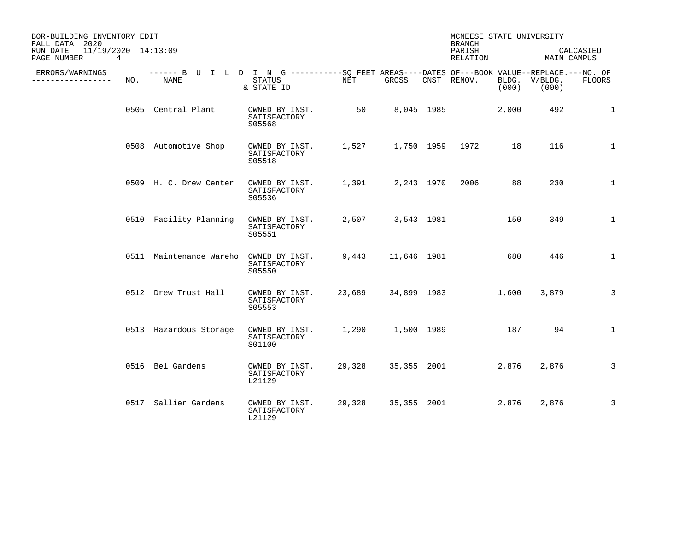| BOR-BUILDING INVENTORY EDIT<br>FALL DATA 2020<br>$11/19/2020$ $14:13:09$<br>RUN DATE<br>PAGE NUMBER | 4   |                                                                                                    |                                          |        |                   | MCNEESE STATE UNIVERSITY<br><b>BRANCH</b><br>PARISH |       |                                       | CALCASIEU    |
|-----------------------------------------------------------------------------------------------------|-----|----------------------------------------------------------------------------------------------------|------------------------------------------|--------|-------------------|-----------------------------------------------------|-------|---------------------------------------|--------------|
| ERRORS/WARNINGS<br>-------------                                                                    | NO. | ------ B U I L D I N G ----------SO FEET AREAS----DATES OF---BOOK VALUE--REPLACE.---NO. OF<br>NAME | STATUS<br>& STATE ID                     | NET    | GROSS             | RELATION<br>CNST RENOV.                             | (000) | MAIN CAMPUS<br>BLDG. V/BLDG.<br>(000) | FLOORS       |
|                                                                                                     |     | 0505 Central Plant                                                                                 | OWNED BY INST.<br>SATISFACTORY<br>S05568 | 50     |                   | 8,045 1985                                          | 2,000 | 492                                   | 1            |
|                                                                                                     |     | 0508 Automotive Shop                                                                               | OWNED BY INST.<br>SATISFACTORY<br>S05518 | 1,527  |                   | 1,750 1959 1972                                     | 18    | 116                                   | 1            |
|                                                                                                     |     | 0509 H. C. Drew Center                                                                             | OWNED BY INST.<br>SATISFACTORY<br>S05536 |        |                   | 1,391 2,243 1970 2006                               | 88    | 230                                   | $\mathbf{1}$ |
|                                                                                                     |     | 0510 Facility Planning                                                                             | OWNED BY INST.<br>SATISFACTORY<br>S05551 |        | 2,507 3,543 1981  |                                                     | 150   | 349                                   | $\mathbf{1}$ |
|                                                                                                     |     | 0511 Maintenance Wareho                                                                            | OWNED BY INST.<br>SATISFACTORY<br>S05550 |        | 9,443 11,646 1981 |                                                     | 680   | 446                                   | $\mathbf{1}$ |
|                                                                                                     |     | 0512 Drew Trust Hall                                                                               | OWNED BY INST.<br>SATISFACTORY<br>S05553 | 23,689 |                   |                                                     | 1,600 | 3,879                                 | 3            |
|                                                                                                     |     | 0513 Hazardous Storage                                                                             | OWNED BY INST.<br>SATISFACTORY<br>S01100 |        | 1,290 1,500 1989  | 187                                                 |       | 94                                    | $\mathbf{1}$ |
|                                                                                                     |     | 0516 Bel Gardens                                                                                   | OWNED BY INST.<br>SATISFACTORY<br>L21129 | 29,328 |                   | 35,355 2001                                         | 2,876 | 2,876                                 | 3            |
|                                                                                                     |     | 0517 Sallier Gardens                                                                               | OWNED BY INST.<br>SATISFACTORY<br>L21129 | 29,328 | 35,355 2001       |                                                     | 2,876 | 2,876                                 | 3            |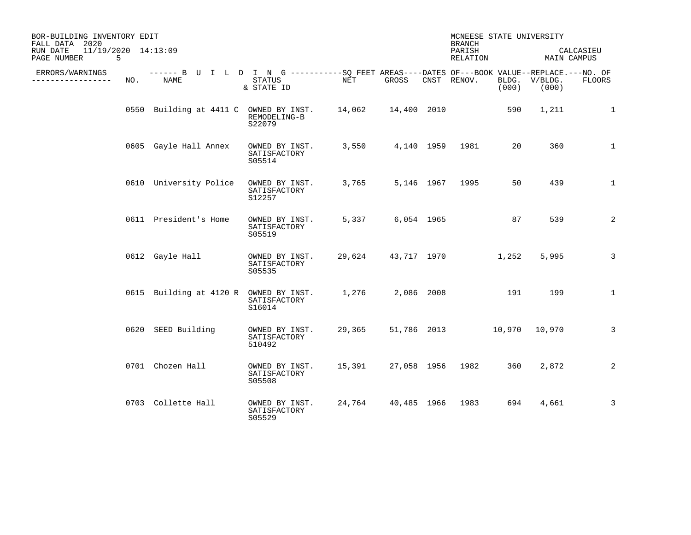| BOR-BUILDING INVENTORY EDIT<br>FALL DATA 2020<br>11/19/2020 14:13:09<br>RUN DATE<br>PAGE NUMBER | 5   |                                                                                                           |                                          |        |                         |            | MCNEESE STATE UNIVERSITY<br><b>BRANCH</b><br>PARISH<br>RELATION |       | MAIN CAMPUS            | CALCASIEU      |
|-------------------------------------------------------------------------------------------------|-----|-----------------------------------------------------------------------------------------------------------|------------------------------------------|--------|-------------------------|------------|-----------------------------------------------------------------|-------|------------------------|----------------|
| ERRORS/WARNINGS<br>---------                                                                    | NO. | ------ B U I L D I N G ----------SO FEET AREAS----DATES OF---BOOK VALUE--REPLACE.---NO. OF<br><b>NAME</b> | STATUS<br>& STATE ID                     | NET    | GROSS                   |            | CNST RENOV.                                                     | (000) | BLDG. V/BLDG.<br>(000) | <b>FLOORS</b>  |
|                                                                                                 |     | 0550 Building at 4411 C OWNED BY INST. 14,062 14,400 2010                                                 | REMODELING-B<br>S22079                   |        |                         |            |                                                                 | 590   | 1,211                  | 1              |
|                                                                                                 |     | 0605 Gayle Hall Annex                                                                                     | OWNED BY INST.<br>SATISFACTORY<br>S05514 | 3,550  |                         |            | 4,140 1959 1981                                                 | 20    | 360                    | $\mathbf{1}$   |
|                                                                                                 |     | 0610 University Police                                                                                    | OWNED BY INST.<br>SATISFACTORY<br>S12257 | 3,765  |                         |            | 5,146 1967 1995                                                 | 50    | 439                    | $\mathbf{1}$   |
|                                                                                                 |     | 0611 President's Home                                                                                     | OWNED BY INST.<br>SATISFACTORY<br>S05519 | 5,337  |                         | 6,054 1965 |                                                                 | 87    | 539                    | 2              |
|                                                                                                 |     | 0612 Gayle Hall                                                                                           | OWNED BY INST.<br>SATISFACTORY<br>S05535 | 29,624 |                         |            | 43,717 1970                                                     | 1,252 | 5,995                  | $\overline{3}$ |
|                                                                                                 |     | 0615 Building at 4120 R OWNED BY INST.                                                                    | SATISFACTORY<br>S16014                   | 1,276  |                         | 2,086 2008 |                                                                 | 191   | 199                    | $\mathbf{1}$   |
|                                                                                                 |     | 0620 SEED Building                                                                                        | OWNED BY INST.<br>SATISFACTORY<br>510492 | 29,365 |                         |            | 51,786 2013 10,970 10,970                                       |       |                        | $\overline{3}$ |
|                                                                                                 |     | 0701 Chozen Hall                                                                                          | OWNED BY INST.<br>SATISFACTORY<br>S05508 | 15,391 |                         |            | 27,058 1956 1982                                                | 360   | 2,872                  | 2              |
|                                                                                                 |     | 0703 Collette Hall                                                                                        | OWNED BY INST.<br>SATISFACTORY<br>S05529 |        | 24,764 40,485 1966 1983 |            |                                                                 | 694   | 4,661                  | 3              |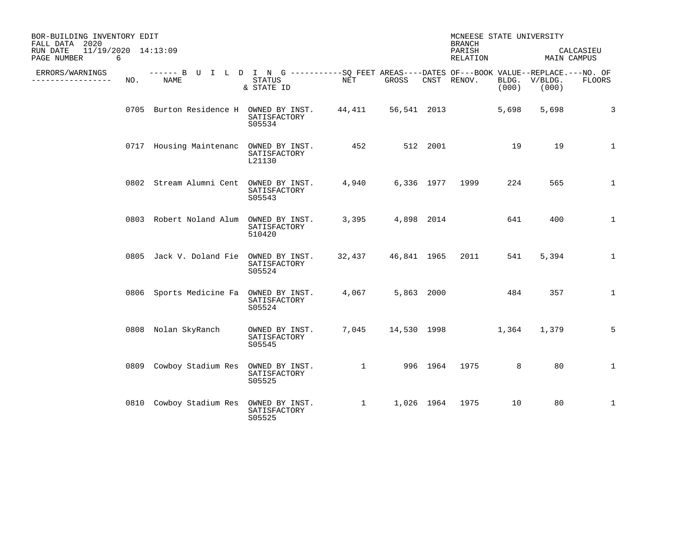| BOR-BUILDING INVENTORY EDIT<br>FALL DATA 2020       |     |                                                                                                     |                                          |                        |                  |          | MCNEESE STATE UNIVERSITY<br><b>BRANCH</b> |       |                        |              |
|-----------------------------------------------------|-----|-----------------------------------------------------------------------------------------------------|------------------------------------------|------------------------|------------------|----------|-------------------------------------------|-------|------------------------|--------------|
| 11/19/2020 14:13:09<br>RUN DATE<br>PAGE NUMBER<br>6 |     |                                                                                                     |                                          |                        |                  |          | PARISH<br>RELATION                        |       | MAIN CAMPUS            | CALCASIEU    |
| ERRORS/WARNINGS<br>--------------                   | NO. | ------ B U I L D I N G -----------SQ FEET AREAS----DATES OF---BOOK VALUE--REPLACE.---NO. OF<br>NAME | STATUS<br>& STATE ID                     | NET                    | GROSS            |          | CNST RENOV.                               | (000) | BLDG. V/BLDG.<br>(000) | FLOORS       |
|                                                     |     | 0705 Burton Residence H OWNED BY INST. 44,411 56,541 2013                                           | SATISFACTORY<br>S05534                   |                        |                  |          |                                           | 5,698 | 5,698                  | 3            |
|                                                     |     | 0717 Housing Maintenanc OWNED BY INST.                                                              | SATISFACTORY<br>L21130                   | 452 and $\overline{a}$ |                  | 512 2001 |                                           | 19    | 19                     | $\mathbf 1$  |
|                                                     |     | 0802 Stream Alumni Cent OWNED BY INST. 4,940 6,336 1977 1999                                        | SATISFACTORY<br>S05543                   |                        |                  |          |                                           | 224   | 565                    | $\mathbf{1}$ |
|                                                     |     | 0803 Robert Noland Alum OWNED BY INST.                                                              | SATISFACTORY<br>510420                   |                        | 3,395 4,898 2014 |          |                                           | 641   | 400                    | $\mathbf{1}$ |
|                                                     |     | 0805 Jack V. Doland Fie OWNED BY INST.                                                              | SATISFACTORY<br>S05524                   |                        |                  |          | 32,437 46,841 1965 2011 541               |       | 5,394                  | $\mathbf{1}$ |
|                                                     |     | 0806 Sports Medicine Fa OWNED BY INST.                                                              | SATISFACTORY<br>S05524                   | 4,067                  |                  |          | 5,863 2000 484                            |       | 357                    | $\mathbf{1}$ |
|                                                     |     | 0808 Nolan SkyRanch                                                                                 | OWNED BY INST.<br>SATISFACTORY<br>S05545 |                        |                  |          | 7,045 14,530 1998 1,364 1,379             |       |                        | 5            |
|                                                     |     | 0809 Cowboy Stadium Res OWNED BY INST.                                                              | SATISFACTORY<br>S05525                   | 1 996 1964 1975        |                  |          |                                           | 8     | 80                     | $\mathbf 1$  |
|                                                     |     | 0810 Cowboy Stadium Res OWNED BY INST. 1 1,026 1964 1975                                            | SATISFACTORY<br>S05525                   |                        |                  |          |                                           | 10    | 80                     | $\mathbf{1}$ |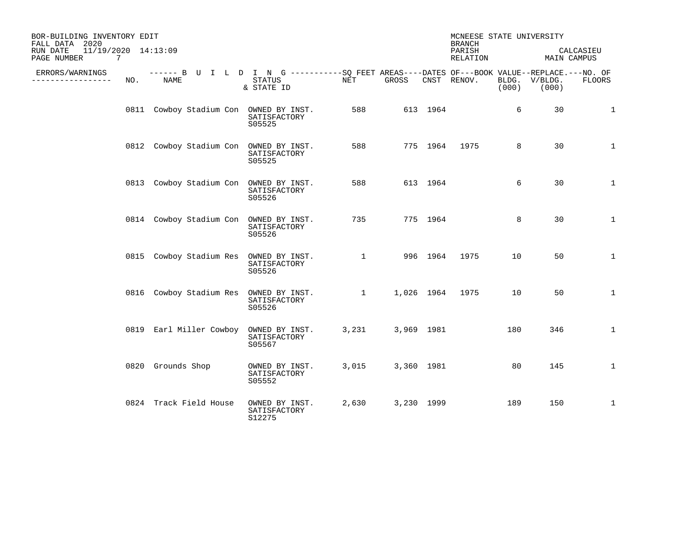| BOR-BUILDING INVENTORY EDIT<br>FALL DATA 2020<br>11/19/2020 14:13:09<br>RUN DATE |     |                                        |                                                                                                                    |          |             |            | MCNEESE STATE UNIVERSITY<br><b>BRANCH</b><br>PARISH |       |                        | CALCASIEU    |
|----------------------------------------------------------------------------------|-----|----------------------------------------|--------------------------------------------------------------------------------------------------------------------|----------|-------------|------------|-----------------------------------------------------|-------|------------------------|--------------|
| PAGE NUMBER                                                                      | 7   |                                        |                                                                                                                    |          |             |            | RELATION                                            |       | MAIN CAMPUS            |              |
| ERRORS/WARNINGS<br>--------------                                                | NO. | NAME                                   | ------ B U I L D I N G ----------SO FEET AREAS----DATES OF---BOOK VALUE--REPLACE.---NO. OF<br>STATUS<br>& STATE ID | NET      | GROSS       |            | CNST RENOV.                                         | (000) | BLDG. V/BLDG.<br>(000) | FLOORS       |
|                                                                                  |     | 0811 Cowboy Stadium Con OWNED BY INST. | SATISFACTORY<br>S05525                                                                                             | 588      |             | 613 1964   |                                                     | 6     | 30                     | 1            |
|                                                                                  |     | 0812 Cowboy Stadium Con OWNED BY INST. | SATISFACTORY<br>S05525                                                                                             | 588      |             |            | 775 1964 1975                                       | 8     | 30                     | $\mathbf{1}$ |
|                                                                                  |     | 0813 Cowboy Stadium Con OWNED BY INST. | SATISFACTORY<br>S05526                                                                                             | 588      |             | 613 1964   |                                                     | 6     | 30                     | $\mathbf{1}$ |
|                                                                                  |     | 0814 Cowboy Stadium Con OWNED BY INST. | SATISFACTORY<br>S05526                                                                                             | 735      |             | 775 1964   |                                                     | 8     | 30                     | $\mathbf{1}$ |
|                                                                                  |     | 0815 Cowboy Stadium Res OWNED BY INST. | SATISFACTORY<br>S05526                                                                                             |          | $1 - 1 - 1$ | 996 1964   | 1975                                                | 10    | 50                     | $\mathbf{1}$ |
|                                                                                  |     |                                        | 0816 Cowboy Stadium Res OWNED BY INST.<br>SATISFACTORY<br>S05526                                                   | $\sim$ 1 |             |            | 1,026 1964 1975                                     | 10    | 50                     | $\mathbf{1}$ |
|                                                                                  |     | 0819 Earl Miller Cowboy                | OWNED BY INST.<br>SATISFACTORY<br>S05567                                                                           | 3,231    |             | 3,969 1981 |                                                     | 180   | 346                    | $\mathbf{1}$ |
|                                                                                  |     | 0820 Grounds Shop                      | OWNED BY INST.<br>SATISFACTORY<br>S05552                                                                           | 3,015    |             | 3,360 1981 |                                                     | 80    | 145                    | $\mathbf 1$  |
|                                                                                  |     | 0824 Track Field House                 | OWNED BY INST.<br>SATISFACTORY<br>S12275                                                                           | 2,630    |             | 3,230 1999 |                                                     | 189   | 150                    | 1            |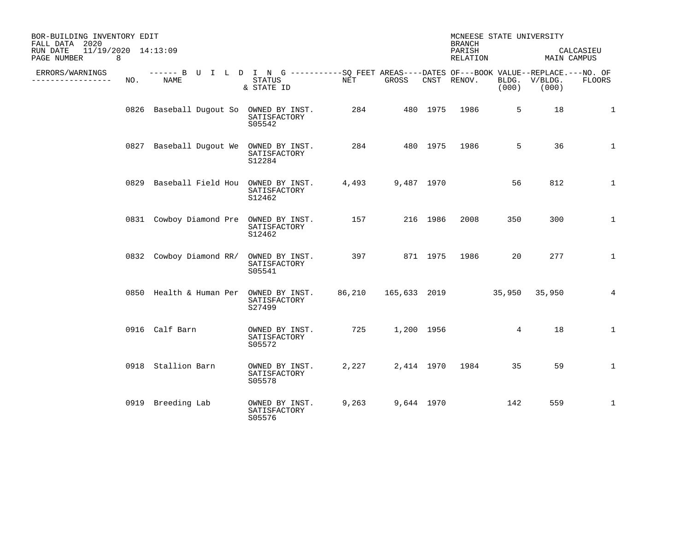| BOR-BUILDING INVENTORY EDIT<br>FALL DATA 2020<br>11/19/2020 14:13:09<br>RUN DATE |     |                                                                                                     |                                          |                   |                   |            | MCNEESE STATE UNIVERSITY<br><b>BRANCH</b><br>PARISH |       |                        | CALCASIEU     |
|----------------------------------------------------------------------------------|-----|-----------------------------------------------------------------------------------------------------|------------------------------------------|-------------------|-------------------|------------|-----------------------------------------------------|-------|------------------------|---------------|
| PAGE NUMBER<br>8                                                                 |     |                                                                                                     |                                          |                   |                   |            | RELATION                                            |       | MAIN CAMPUS            |               |
| ERRORS/WARNINGS<br>--------------                                                | NO. | ------ B U I L D I N G -----------SO FEET AREAS----DATES OF---BOOK VALUE--REPLACE.---NO. OF<br>NAME | STATUS<br>& STATE ID                     | NET               | GROSS             |            | CNST RENOV.                                         | (000) | BLDG. V/BLDG.<br>(000) | <b>FLOORS</b> |
|                                                                                  |     | 0826 Baseball Dugout So OWNED BY INST.                                                              | SATISFACTORY<br>S05542                   |                   | 284 480 1975 1986 |            |                                                     | 5     | 18                     | 1             |
|                                                                                  |     | 0827 Baseball Dugout We OWNED BY INST.                                                              | SATISFACTORY<br>S12284                   |                   |                   |            | 284 480 1975 1986                                   | 5     | 36                     | $\mathbf{1}$  |
|                                                                                  |     | 0829 Baseball Field Hou OWNED BY INST.                                                              | SATISFACTORY<br>S12462                   |                   | 4,493 9,487 1970  |            |                                                     | 56    | 812                    | $\mathbf{1}$  |
|                                                                                  |     | 0831 Cowboy Diamond Pre OWNED BY INST.                                                              | SATISFACTORY<br>S12462                   | 157               |                   | 216 1986   | 2008                                                | 350   | 300                    | 1             |
|                                                                                  |     | 0832 Cowboy Diamond RR/                                                                             | OWNED BY INST.<br>SATISFACTORY<br>S05541 | 397 871 1975 1986 |                   |            |                                                     | 20    | 277                    | $\mathbf{1}$  |
|                                                                                  |     | 0850 Health & Human Per OWNED BY INST.                                                              | SATISFACTORY<br>S27499                   |                   |                   |            | 86,210 165,633 2019 35,950 35,950                   |       |                        | 4             |
|                                                                                  |     | 0916 Calf Barn                                                                                      | OWNED BY INST.<br>SATISFACTORY<br>S05572 |                   | 725 1,200 1956    |            |                                                     | 4     | 18                     | $\mathbf{1}$  |
|                                                                                  |     | 0918 Stallion Barn                                                                                  | OWNED BY INST.<br>SATISFACTORY<br>S05578 | 2,227             |                   |            | 2,414 1970 1984                                     | 35    | 59                     | $\mathbf{1}$  |
|                                                                                  |     | 0919 Breeding Lab                                                                                   | OWNED BY INST.<br>SATISFACTORY<br>S05576 | 9,263             |                   | 9,644 1970 |                                                     | 142   | 559                    | $\mathbf{1}$  |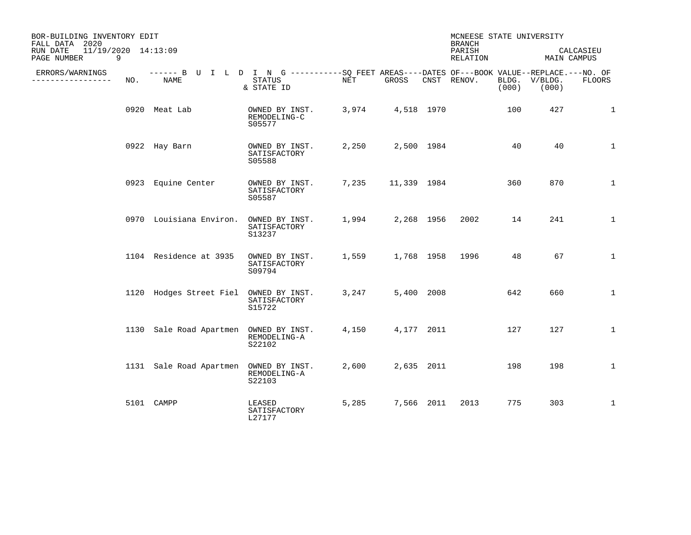| BOR-BUILDING INVENTORY EDIT<br>FALL DATA 2020       |     |                                                                                                     |                                          |       |             |            | MCNEESE STATE UNIVERSITY<br><b>BRANCH</b> |                |                     |              |
|-----------------------------------------------------|-----|-----------------------------------------------------------------------------------------------------|------------------------------------------|-------|-------------|------------|-------------------------------------------|----------------|---------------------|--------------|
| 11/19/2020 14:13:09<br>RUN DATE<br>9<br>PAGE NUMBER |     |                                                                                                     |                                          |       |             |            | PARISH<br>RELATION                        |                | MAIN CAMPUS         | CALCASIEU    |
| ERRORS/WARNINGS<br>. <u>.</u> .                     | NO. | ------ B U I L D I N G -----------SO FEET AREAS----DATES OF---BOOK VALUE--REPLACE.---NO. OF<br>NAME | <b>STATUS</b><br>& STATE ID              | NET   | GROSS       |            | CNST RENOV.                               | BLDG.<br>(000) | $V/BLDG$ .<br>(000) | FLOORS       |
|                                                     |     | 0920 Meat Lab                                                                                       | OWNED BY INST.<br>REMODELING-C<br>S05577 | 3,974 | 4,518 1970  |            |                                           | 100            | 427                 | 1            |
|                                                     |     | 0922 Hay Barn                                                                                       | OWNED BY INST.<br>SATISFACTORY<br>S05588 | 2,250 |             | 2,500 1984 |                                           | 40             | 40                  | $\mathbf{1}$ |
|                                                     |     | 0923 Equine Center                                                                                  | OWNED BY INST.<br>SATISFACTORY<br>S05587 | 7,235 | 11,339 1984 |            |                                           | 360            | 870                 | $\mathbf{1}$ |
|                                                     |     | 0970 Louisiana Environ.                                                                             | OWNED BY INST.<br>SATISFACTORY<br>S13237 | 1,994 |             | 2,268 1956 | 2002                                      | 14             | 241                 | $\mathbf 1$  |
|                                                     |     | 1104 Residence at 3935                                                                              | OWNED BY INST.<br>SATISFACTORY<br>S09794 | 1,559 |             |            | 1,768 1958 1996                           | 48             | 67                  | $\mathbf{1}$ |
|                                                     |     | 1120 Hodges Street Fiel OWNED BY INST.                                                              | SATISFACTORY<br>S15722                   | 3,247 |             | 5,400 2008 |                                           | 642            | 660                 | $\mathbf 1$  |
|                                                     |     | 1130 Sale Road Apartmen                                                                             | OWNED BY INST.<br>REMODELING-A<br>S22102 | 4,150 |             | 4,177 2011 |                                           | 127            | 127                 | $\mathbf{1}$ |
|                                                     |     | 1131 Sale Road Apartmen                                                                             | OWNED BY INST.<br>REMODELING-A<br>S22103 | 2,600 |             | 2,635 2011 |                                           | 198            | 198                 | $\mathbf{1}$ |
|                                                     |     | 5101 CAMPP                                                                                          | LEASED<br>SATISFACTORY<br>L27177         | 5,285 |             | 7,566 2011 | 2013                                      | 775            | 303                 | $\mathbf{1}$ |